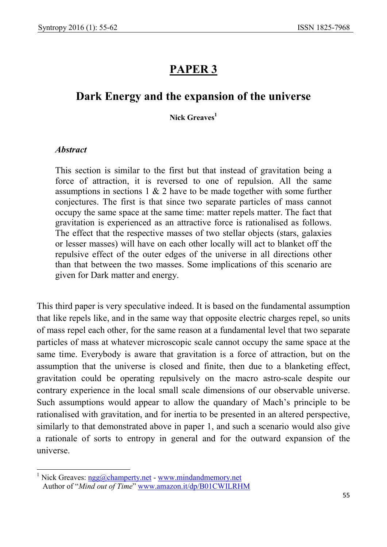# PAPER<sub>3</sub>

## Dark Energy and the expansion of the universe

#### Nick Greaves<sup>1</sup>

#### Abstract

This section is similar to the first but that instead of gravitation being a force of attraction, it is reversed to one of repulsion. All the same assumptions in sections 1 & 2 have to be made together with some further conjectures. The first is that since two separate particles of mass cannot occupy the same space at the same time: matter repels matter. The fact that gravitation is experienced as an attractive force is rationalised as follows. The effect that the respective masses of two stellar objects (stars, galaxies or lesser masses) will have on each other locally will act to blanket off the repulsive effect of the outer edges of the universe in all directions other than that between the two masses. Some implications of this scenario are given for Dark matter and energy.

This third paper is very speculative indeed. It is based on the fundamental assumption that like repels like, and in the same way that opposite electric charges repel, so units of mass repel each other, for the same reason at a fundamental level that two separate particles of mass at whatever microscopic scale cannot occupy the same space at the same time. Everybody is aware that gravitation is a force of attraction, but on the assumption that the universe is closed and finite, then due to a blanketing effect, gravitation could be operating repulsively on the macro astro-scale despite our contrary experience in the local small scale dimensions of our observable universe. Such assumptions would appear to allow the quandary of Mach's principle to be rationalised with gravitation, and for inertia to be presented in an altered perspective, similarly to that demonstrated above in paper 1, and such a scenario would also give a rationale of sorts to entropy in general and for the outward expansion of the universe.

<sup>&</sup>lt;sup>1</sup> Nick Greaves: ngg@champerty.net - www.mindandmemory.net Author of "Mind out of Time" www.amazon.it/dp/B01CWILRHM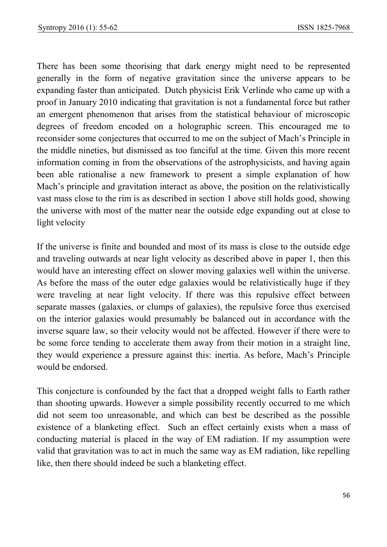There has been some theorising that dark energy might need to be represented generally in the form of negative gravitation since the universe appears to be expanding faster than anticipated. Dutch physicist Erik Verlinde who came up with a proof in January 2010 indicating that gravitation is not a fundamental force but rather an emergent phenomenon that arises from the statistical behaviour of microscopic degrees of freedom encoded on a holographic screen. This encouraged me to reconsider some conjectures that occurred to me on the subject of Mach's Principle in the middle nineties, but dismissed as too fanciful at the time. Given this more recent information coming in from the observations of the astrophysicists, and having again been able rationalise a new framework to present a simple explanation of how Mach's principle and gravitation interact as above, the position on the relativistically vast mass close to the rim is as described in section 1 above still holds good, showing the universe with most of the matter near the outside edge expanding out at close to light velocity

If the universe is finite and bounded and most of its mass is close to the outside edge and traveling outwards at near light velocity as described above in paper 1, then this would have an interesting effect on slower moving galaxies well within the universe. As before the mass of the outer edge galaxies would be relativistically huge if they were traveling at near light velocity. If there was this repulsive effect between separate masses (galaxies, or clumps of galaxies), the repulsive force thus exercised on the interior galaxies would presumably be balanced out in accordance with the inverse square law, so their velocity would not be affected. However if there were to be some force tending to accelerate them away from their motion in a straight line, they would experience a pressure against this: inertia. As before, Mach's Principle would be endorsed.

This conjecture is confounded by the fact that a dropped weight falls to Earth rather than shooting upwards. However a simple possibility recently occurred to me which did not seem too unreasonable, and which can best be described as the possible existence of a blanketing effect. Such an effect certainly exists when a mass of conducting material is placed in the way of EM radiation. If my assumption were valid that gravitation was to act in much the same way as EM radiation, like repelling like, then there should indeed be such a blanketing effect.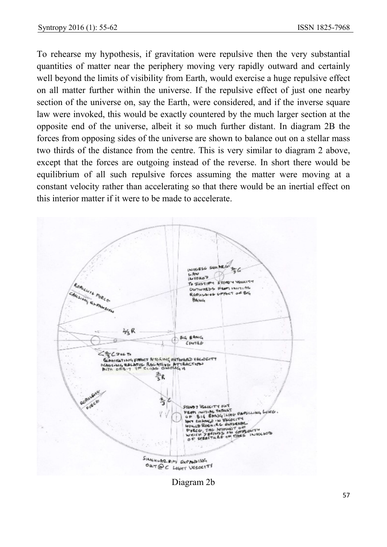To rehearse my hypothesis, if gravitation were repulsive then the very substantial quantities of matter near the periphery moving very rapidly outward and certainly well beyond the limits of visibility from Earth, would exercise a huge repulsive effect on all matter further within the universe. If the repulsive effect of just one nearby section of the universe on, say the Earth, were considered, and if the inverse square law were invoked, this would be exactly countered by the much larger section at the opposite end of the universe, albeit it so much further distant. In diagram 2B the forces from opposing sides of the universe are shown to balance out on a stellar mass two thirds of the distance from the centre. This is very similar to diagram 2 above, except that the forces are outgoing instead of the reverse. In short there would be equilibrium of all such repulsive forces assuming the matter were moving at a constant velocity rather than accelerating so that there would be an inertial effect on this interior matter if it were to be made to accelerate.



Diagram 2b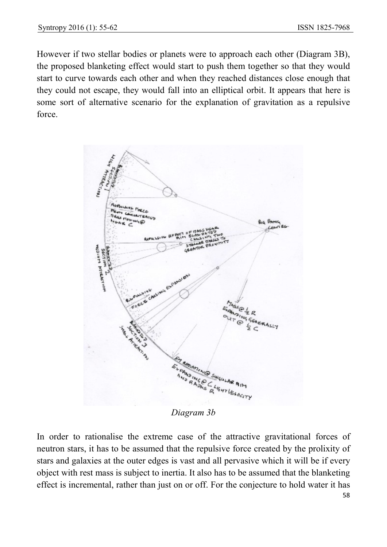However if two stellar bodies or planets were to approach each other (Diagram 3B), the proposed blanketing effect would start to push them together so that they would start to curve towards each other and when they reached distances close enough that they could not escape, they would fall into an elliptical orbit. It appears that here is some sort of alternative scenario for the explanation of gravitation as a repulsive force.



In order to rationalise the extreme case of the attractive gravitational forces of neutron stars, it has to be assumed that the repulsive force created by the prolixity of stars and galaxies at the outer edges is vast and all pervasive which it will be if every object with rest mass is subject to inertia. It also has to be assumed that the blanketing effect is incremental, rather than just on or off. For the conjecture to hold water it has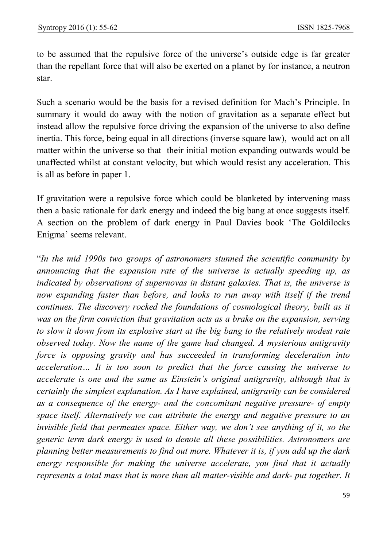to be assumed that the repulsive force of the universe's outside edge is far greater than the repellant force that will also be exerted on a planet by for instance, a neutron star.

Such a scenario would be the basis for a revised definition for Mach's Principle. In summary it would do away with the notion of gravitation as a separate effect but instead allow the repulsive force driving the expansion of the universe to also define inertia. This force, being equal in all directions (inverse square law), would act on all matter within the universe so that their initial motion expanding outwards would be unaffected whilst at constant velocity, but which would resist any acceleration. This is all as before in paper 1.

If gravitation were a repulsive force which could be blanketed by intervening mass then a basic rationale for dark energy and indeed the big bang at once suggests itself. A section on the problem of dark energy in Paul Davies book 'The Goldilocks Enigma' seems relevant.

"In the mid 1990s two groups of astronomers stunned the scientific community by announcing that the expansion rate of the universe is actually speeding up, as indicated by observations of supernovas in distant galaxies. That is, the universe is now expanding faster than before, and looks to run away with itself if the trend continues. The discovery rocked the foundations of cosmological theory, built as it was on the firm conviction that gravitation acts as a brake on the expansion, serving to slow it down from its explosive start at the big bang to the relatively modest rate observed today. Now the name of the game had changed. A mysterious antigravity force is opposing gravity and has succeeded in transforming deceleration into acceleration… It is too soon to predict that the force causing the universe to accelerate is one and the same as Einstein's original antigravity, although that is certainly the simplest explanation. As I have explained, antigravity can be considered as a consequence of the energy- and the concomitant negative pressure- of empty space itself. Alternatively we can attribute the energy and negative pressure to an invisible field that permeates space. Either way, we don't see anything of it, so the generic term dark energy is used to denote all these possibilities. Astronomers are planning better measurements to find out more. Whatever it is, if you add up the dark energy responsible for making the universe accelerate, you find that it actually represents a total mass that is more than all matter-visible and dark- put together. It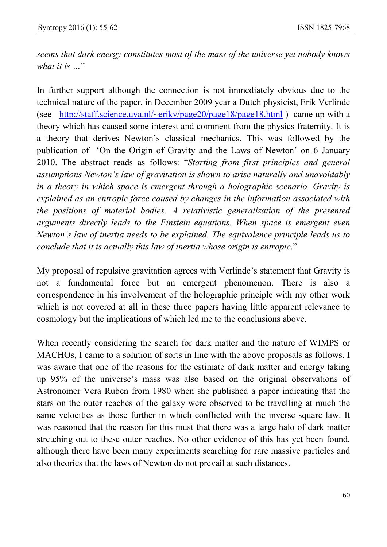seems that dark energy constitutes most of the mass of the universe yet nobody knows what it is ..."

In further support although the connection is not immediately obvious due to the technical nature of the paper, in December 2009 year a Dutch physicist, Erik Verlinde (see http://staff.science.uva.nl/~erikv/page20/page18/page18.html ) came up with a theory which has caused some interest and comment from the physics fraternity. It is a theory that derives Newton's classical mechanics. This was followed by the publication of 'On the Origin of Gravity and the Laws of Newton' on 6 January 2010. The abstract reads as follows: "Starting from first principles and general assumptions Newton's law of gravitation is shown to arise naturally and unavoidably in a theory in which space is emergent through a holographic scenario. Gravity is explained as an entropic force caused by changes in the information associated with the positions of material bodies. A relativistic generalization of the presented arguments directly leads to the Einstein equations. When space is emergent even Newton's law of inertia needs to be explained. The equivalence principle leads us to conclude that it is actually this law of inertia whose origin is entropic."

My proposal of repulsive gravitation agrees with Verlinde's statement that Gravity is not a fundamental force but an emergent phenomenon. There is also a correspondence in his involvement of the holographic principle with my other work which is not covered at all in these three papers having little apparent relevance to cosmology but the implications of which led me to the conclusions above.

When recently considering the search for dark matter and the nature of WIMPS or MACHOs, I came to a solution of sorts in line with the above proposals as follows. I was aware that one of the reasons for the estimate of dark matter and energy taking up 95% of the universe's mass was also based on the original observations of Astronomer Vera Ruben from 1980 when she published a paper indicating that the stars on the outer reaches of the galaxy were observed to be travelling at much the same velocities as those further in which conflicted with the inverse square law. It was reasoned that the reason for this must that there was a large halo of dark matter stretching out to these outer reaches. No other evidence of this has yet been found, although there have been many experiments searching for rare massive particles and also theories that the laws of Newton do not prevail at such distances.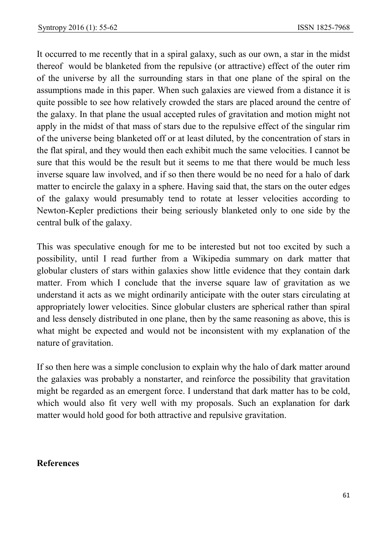It occurred to me recently that in a spiral galaxy, such as our own, a star in the midst thereof would be blanketed from the repulsive (or attractive) effect of the outer rim of the universe by all the surrounding stars in that one plane of the spiral on the assumptions made in this paper. When such galaxies are viewed from a distance it is quite possible to see how relatively crowded the stars are placed around the centre of the galaxy. In that plane the usual accepted rules of gravitation and motion might not apply in the midst of that mass of stars due to the repulsive effect of the singular rim of the universe being blanketed off or at least diluted, by the concentration of stars in the flat spiral, and they would then each exhibit much the same velocities. I cannot be sure that this would be the result but it seems to me that there would be much less inverse square law involved, and if so then there would be no need for a halo of dark matter to encircle the galaxy in a sphere. Having said that, the stars on the outer edges of the galaxy would presumably tend to rotate at lesser velocities according to Newton-Kepler predictions their being seriously blanketed only to one side by the central bulk of the galaxy.

This was speculative enough for me to be interested but not too excited by such a possibility, until I read further from a Wikipedia summary on dark matter that globular clusters of stars within galaxies show little evidence that they contain dark matter. From which I conclude that the inverse square law of gravitation as we understand it acts as we might ordinarily anticipate with the outer stars circulating at appropriately lower velocities. Since globular clusters are spherical rather than spiral and less densely distributed in one plane, then by the same reasoning as above, this is what might be expected and would not be inconsistent with my explanation of the nature of gravitation.

If so then here was a simple conclusion to explain why the halo of dark matter around the galaxies was probably a nonstarter, and reinforce the possibility that gravitation might be regarded as an emergent force. I understand that dark matter has to be cold, which would also fit very well with my proposals. Such an explanation for dark matter would hold good for both attractive and repulsive gravitation.

### References